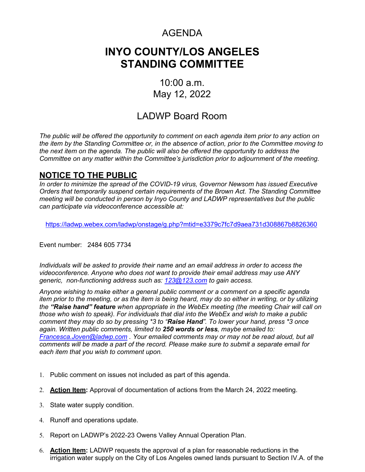## AGENDA

# **INYO COUNTY/LOS ANGELES STANDING COMMITTEE**

### 10:00 a.m. May 12, 2022

### LADWP Board Room

*The public will be offered the opportunity to comment on each agenda item prior to any action on the item by the Standing Committee or, in the absence of action, prior to the Committee moving to the next item on the agenda. The public will also be offered the opportunity to address the Committee on any matter within the Committee's jurisdiction prior to adjournment of the meeting.*

#### **NOTICE TO THE PUBLIC**

*In order to minimize the spread of the COVID-19 virus, Governor Newsom has issued Executive Orders that temporarily suspend certain requirements of the Brown Act. The Standing Committee meeting will be conducted in person by Inyo County and LADWP representatives but the public can participate via videoconference accessible at:* 

<https://ladwp.webex.com/ladwp/onstage/g.php?mtid=e3379c7fc7d9aea731d308867b8826360>

Event number: 2484 605 7734

*Individuals will be asked to provide their name and an email address in order to access the videoconference. Anyone who does not want to provide their email address may use ANY generic, non-functioning address such as: [123@123.com](mailto:123@123.com) to gain access.*

*Anyone wishing to make either a general public comment or a comment on a specific agenda item prior to the meeting, or as the item is being heard, may do so either in writing, or by utilizing the "Raise hand" feature when appropriate in the WebEx meeting (the meeting Chair will call on those who wish to speak). For individuals that dial into the WebEx and wish to make a public comment they may do so by pressing \*3 to "Raise Hand". To lower your hand, press \*3 once again. Written public comments, limited to 250 words or less, maybe emailed to: [Francesca.Joven@ladwp.com](mailto:Francesca.Joven@ladwp.com) . Your emailed comments may or may not be read aloud, but all comments will be made a part of the record. Please make sure to submit a separate email for each item that you wish to comment upon.*

- 1. Public comment on issues not included as part of this agenda.
- 2. **Action Item:** Approval of documentation of actions from the March 24, 2022 meeting.
- 3. State water supply condition.
- 4. Runoff and operations update.
- 5. Report on LADWP's 2022-23 Owens Valley Annual Operation Plan.
- 6. **Action Item:** LADWP requests the approval of a plan for reasonable reductions in the irrigation water supply on the City of Los Angeles owned lands pursuant to Section IV.A. of the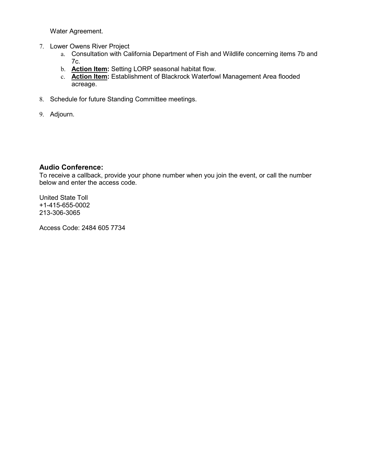Water Agreement.

- 7. Lower Owens River Project
	- a. Consultation with California Department of Fish and Wildlife concerning items 7b and 7c.
	- b. **Action Item:** Setting LORP seasonal habitat flow.
	- c. **Action Item:** Establishment of Blackrock Waterfowl Management Area flooded acreage.
- 8. Schedule for future Standing Committee meetings.
- 9. Adjourn.

#### **Audio Conference:**

To receive a callback, provide your phone number when you join the event, or call the number below and enter the access code.

United State Toll +1-415-655-0002 213-306-3065

Access Code: 2484 605 7734